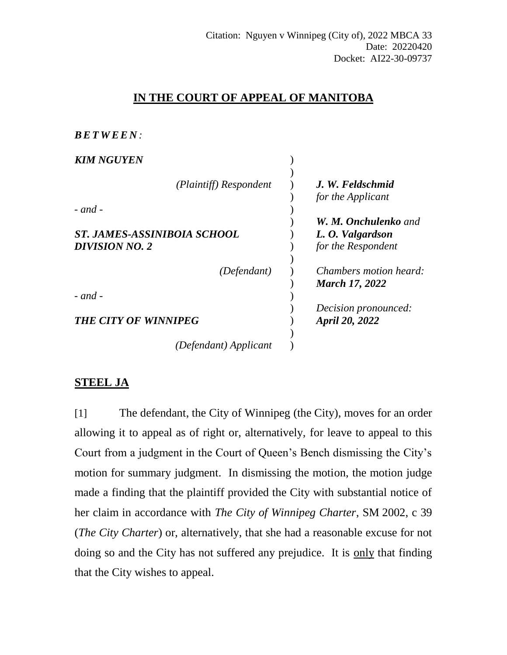## **IN THE COURT OF APPEAL OF MANITOBA**

| , , , , , , , , , , , , , , ,                        |                                                                       |
|------------------------------------------------------|-----------------------------------------------------------------------|
| <b>KIM NGUYEN</b>                                    |                                                                       |
| (Plaintiff) Respondent<br>$-$ and $-$                | J. W. Feldschmid<br>for the Applicant                                 |
| ST. JAMES-ASSINIBOIA SCHOOL<br><b>DIVISION NO. 2</b> | <b>W. M. Onchulenko</b> and<br>L. O. Valgardson<br>for the Respondent |
| (Defendant)                                          | <i>Chambers motion heard:</i><br><b>March 17, 2022</b>                |
| $-$ and $-$                                          | Decision pronounced:                                                  |
| <b>THE CITY OF WINNIPEG</b>                          | April 20, 2022                                                        |
| (Defendant) Applicant                                |                                                                       |

## **STEEL JA**

 $B$ *B* $B$  $T$ *<i>W* $E$  $F$  $N$  $\cdot$ 

[1] The defendant, the City of Winnipeg (the City), moves for an order allowing it to appeal as of right or, alternatively, for leave to appeal to this Court from a judgment in the Court of Queen's Bench dismissing the City's motion for summary judgment. In dismissing the motion, the motion judge made a finding that the plaintiff provided the City with substantial notice of her claim in accordance with *The City of Winnipeg Charter*, SM 2002, c 39 (*The City Charter*) or, alternatively, that she had a reasonable excuse for not doing so and the City has not suffered any prejudice. It is only that finding that the City wishes to appeal.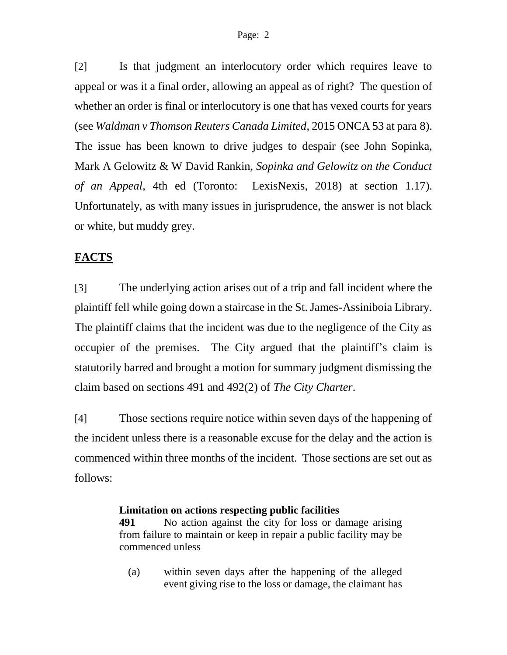[2] Is that judgment an interlocutory order which requires leave to appeal or was it a final order, allowing an appeal as of right? The question of whether an order is final or interlocutory is one that has vexed courts for years (see *Waldman v Thomson Reuters Canada Limited*, 2015 ONCA 53 at para 8). The issue has been known to drive judges to despair (see John Sopinka, Mark A Gelowitz & W David Rankin, *Sopinka and Gelowitz on the Conduct of an Appeal*, 4th ed (Toronto: LexisNexis, 2018) at section 1.17). Unfortunately, as with many issues in jurisprudence, the answer is not black or white, but muddy grey.

# **FACTS**

[3] The underlying action arises out of a trip and fall incident where the plaintiff fell while going down a staircase in the St. James-Assiniboia Library. The plaintiff claims that the incident was due to the negligence of the City as occupier of the premises. The City argued that the plaintiff's claim is statutorily barred and brought a motion for summary judgment dismissing the claim based on sections 491 and 492(2) of *The City Charter*.

[4] Those sections require notice within seven days of the happening of the incident unless there is a reasonable excuse for the delay and the action is commenced within three months of the incident. Those sections are set out as follows:

## **Limitation on actions respecting public facilities**

**[491](https://web2.gov.mb.ca/laws/statutes/municipal/c03902_2f.php#491)** No action against the city for loss or damage arising from failure to maintain or keep in repair a public facility may be commenced unless

(a) within seven days after the happening of the alleged event giving rise to the loss or damage, the claimant has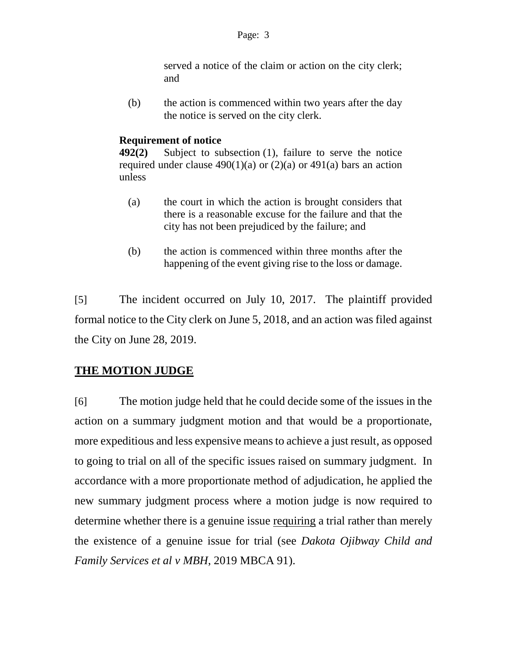served a notice of the claim or action on the city clerk; and

(b) the action is commenced within two years after the day the notice is served on the city clerk.

#### **Requirement of notice**

**[492\(2\)](https://web2.gov.mb.ca/laws/statutes/municipal/c03902_2f.php#492(2))** Subject to subsection (1), failure to serve the notice required under clause  $490(1)(a)$  or  $(2)(a)$  or  $491(a)$  bars an action unless

- (a) the court in which the action is brought considers that there is a reasonable excuse for the failure and that the city has not been prejudiced by the failure; and
- (b) the action is commenced within three months after the happening of the event giving rise to the loss or damage.

[5] The incident occurred on July 10, 2017. The plaintiff provided formal notice to the City clerk on June 5, 2018, and an action was filed against the City on June 28, 2019.

# **THE MOTION JUDGE**

[6] The motion judge held that he could decide some of the issues in the action on a summary judgment motion and that would be a proportionate, more expeditious and less expensive means to achieve a just result, as opposed to going to trial on all of the specific issues raised on summary judgment. In accordance with a more proportionate method of adjudication, he applied the new summary judgment process where a motion judge is now required to determine whether there is a genuine issue requiring a trial rather than merely the existence of a genuine issue for trial (see *Dakota Ojibway Child and Family Services et al v MBH*, 2019 MBCA 91).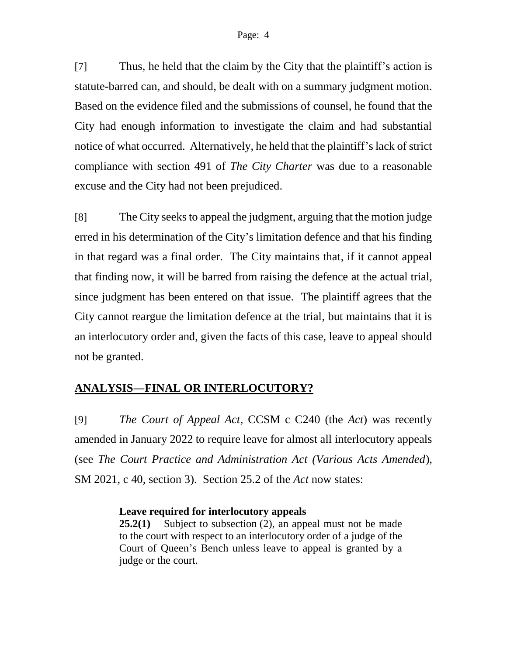[7] Thus, he held that the claim by the City that the plaintiff's action is statute-barred can, and should, be dealt with on a summary judgment motion. Based on the evidence filed and the submissions of counsel, he found that the City had enough information to investigate the claim and had substantial notice of what occurred. Alternatively, he held that the plaintiff's lack of strict compliance with section 491 of *The City Charter* was due to a reasonable excuse and the City had not been prejudiced.

[8] The City seeks to appeal the judgment, arguing that the motion judge erred in his determination of the City's limitation defence and that his finding in that regard was a final order. The City maintains that, if it cannot appeal that finding now, it will be barred from raising the defence at the actual trial, since judgment has been entered on that issue. The plaintiff agrees that the City cannot reargue the limitation defence at the trial, but maintains that it is an interlocutory order and, given the facts of this case, leave to appeal should not be granted.

## **ANALYSIS—FINAL OR INTERLOCUTORY?**

[9] *The Court of Appeal Act*, CCSM c C240 (the *Act*) was recently amended in January 2022 to require leave for almost all interlocutory appeals (see *The Court Practice and Administration Act (Various Acts Amended*), SM 2021, c 40, section 3). Section 25.2 of the *Act* now states:

#### **Leave required for interlocutory appeals**

**[25.2\(1\)](https://web2.gov.mb.ca/laws/statutes/ccsm/c240f.php#25.2)** Subject to subsection (2), an appeal must not be made to the court with respect to an interlocutory order of a judge of the Court of Queen's Bench unless leave to appeal is granted by a judge or the court.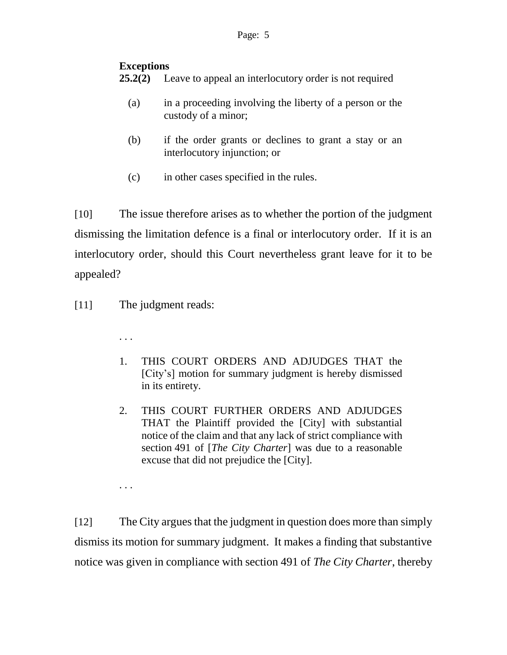#### Page: 5

### **Exceptions**

- **[25.2\(2\)](https://web2.gov.mb.ca/laws/statutes/ccsm/c240f.php#25.2(2))** Leave to appeal an interlocutory order is not required
	- (a) in a proceeding involving the liberty of a person or the custody of a minor;
	- (b) if the order grants or declines to grant a stay or an interlocutory injunction; or
	- (c) in other cases specified in the rules.

[10] The issue therefore arises as to whether the portion of the judgment dismissing the limitation defence is a final or interlocutory order. If it is an interlocutory order, should this Court nevertheless grant leave for it to be appealed?

[11] The judgment reads:

. . .

- 1. THIS COURT ORDERS AND ADJUDGES THAT the [City's] motion for summary judgment is hereby dismissed in its entirety.
- 2. THIS COURT FURTHER ORDERS AND ADJUDGES THAT the Plaintiff provided the [City] with substantial notice of the claim and that any lack of strict compliance with section 491 of [*The City Charter*] was due to a reasonable excuse that did not prejudice the [City].

. . .

[12] The City argues that the judgment in question does more than simply dismiss its motion for summary judgment. It makes a finding that substantive notice was given in compliance with section 491 of *The City Charter*, thereby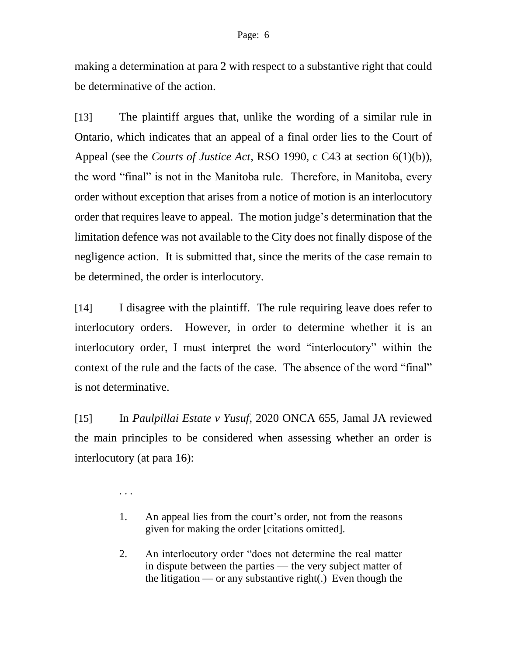making a determination at para 2 with respect to a substantive right that could be determinative of the action.

[13] The plaintiff argues that, unlike the wording of a similar rule in Ontario, which indicates that an appeal of a final order lies to the Court of Appeal (see the *Courts of Justice Act*, RSO 1990, c C43 at section 6(1)(b)), the word "final" is not in the Manitoba rule. Therefore, in Manitoba, every order without exception that arises from a notice of motion is an interlocutory order that requires leave to appeal. The motion judge's determination that the limitation defence was not available to the City does not finally dispose of the negligence action. It is submitted that, since the merits of the case remain to be determined, the order is interlocutory.

[14] I disagree with the plaintiff. The rule requiring leave does refer to interlocutory orders. However, in order to determine whether it is an interlocutory order, I must interpret the word "interlocutory" within the context of the rule and the facts of the case. The absence of the word "final" is not determinative.

[15] In *Paulpillai Estate v Yusuf*, 2020 ONCA 655, Jamal JA reviewed the main principles to be considered when assessing whether an order is interlocutory (at para 16):

. . .

- 1. An appeal lies from the court's order, not from the reasons given for making the order [citations omitted].
- 2. An interlocutory order "does not determine the real matter in dispute between the parties — the very subject matter of the litigation — or any substantive right(.) Even though the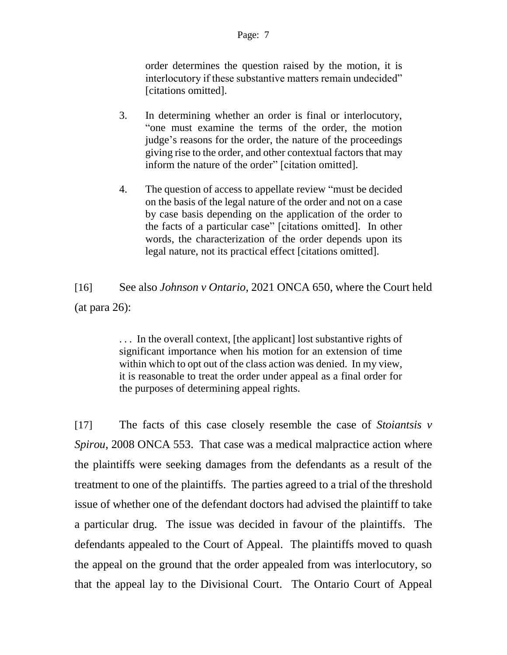#### Page: 7

order determines the question raised by the motion, it is interlocutory if these substantive matters remain undecided" [citations omitted].

- 3. In determining whether an order is final or interlocutory, "one must examine the terms of the order, the motion judge's reasons for the order, the nature of the proceedings giving rise to the order, and other contextual factors that may inform the nature of the order" [citation omitted].
- 4. The question of access to appellate review "must be decided on the basis of the legal nature of the order and not on a case by case basis depending on the application of the order to the facts of a particular case" [citations omitted]. In other words, the characterization of the order depends upon its legal nature, not its practical effect [citations omitted].

[16] See also *Johnson v Ontario*, 2021 ONCA 650, where the Court held (at para 26):

> ... In the overall context, [the applicant] lost substantive rights of significant importance when his motion for an extension of time within which to opt out of the class action was denied. In my view, it is reasonable to treat the order under appeal as a final order for the purposes of determining appeal rights.

[17] The facts of this case closely resemble the case of *Stoiantsis v Spirou*, 2008 ONCA 553. That case was a medical malpractice action where the plaintiffs were seeking damages from the defendants as a result of the treatment to one of the plaintiffs. The parties agreed to a trial of the threshold issue of whether one of the defendant doctors had advised the plaintiff to take a particular drug. The issue was decided in favour of the plaintiffs. The defendants appealed to the Court of Appeal. The plaintiffs moved to quash the appeal on the ground that the order appealed from was interlocutory, so that the appeal lay to the Divisional Court. The Ontario Court of Appeal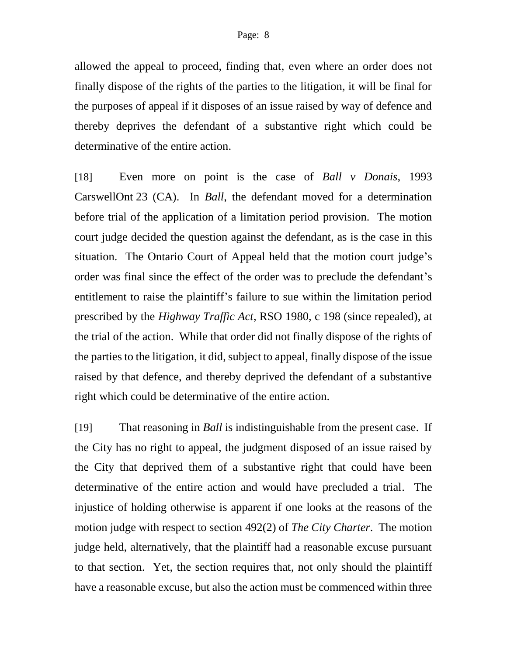allowed the appeal to proceed, finding that, even where an order does not finally dispose of the rights of the parties to the litigation, it will be final for the purposes of appeal if it disposes of an issue raised by way of defence and thereby deprives the defendant of a substantive right which could be determinative of the entire action.

[18] Even more on point is the case of *Ball v Donais*, 1993 CarswellOnt 23 (CA). In *Ball*, the defendant moved for a determination before trial of the application of a limitation period provision. The motion court judge decided the question against the defendant, as is the case in this situation. The Ontario Court of Appeal held that the motion court judge's order was final since the effect of the order was to preclude the defendant's entitlement to raise the plaintiff's failure to sue within the limitation period prescribed by the *Highway Traffic Act*, RSO 1980, c 198 (since repealed), at the trial of the action. While that order did not finally dispose of the rights of the parties to the litigation, it did, subject to appeal, finally dispose of the issue raised by that defence, and thereby deprived the defendant of a substantive right which could be determinative of the entire action.

[19] That reasoning in *Ball* is indistinguishable from the present case. If the City has no right to appeal, the judgment disposed of an issue raised by the City that deprived them of a substantive right that could have been determinative of the entire action and would have precluded a trial. The injustice of holding otherwise is apparent if one looks at the reasons of the motion judge with respect to section 492(2) of *The City Charter*. The motion judge held, alternatively, that the plaintiff had a reasonable excuse pursuant to that section. Yet, the section requires that, not only should the plaintiff have a reasonable excuse, but also the action must be commenced within three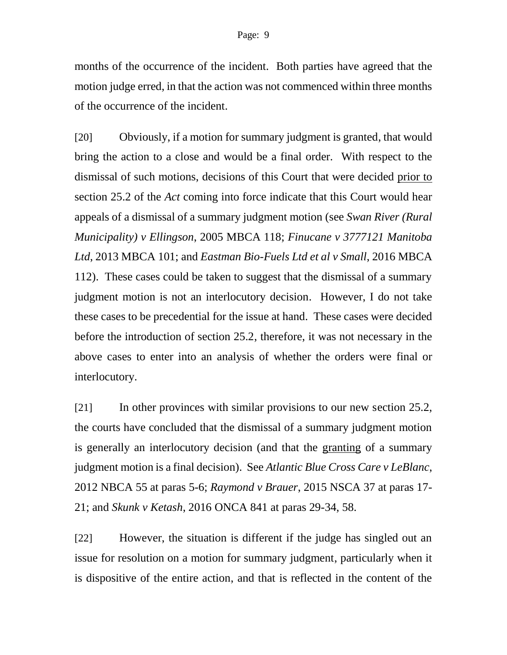months of the occurrence of the incident. Both parties have agreed that the motion judge erred, in that the action was not commenced within three months of the occurrence of the incident.

[20] Obviously, if a motion for summary judgment is granted, that would bring the action to a close and would be a final order. With respect to the dismissal of such motions, decisions of this Court that were decided prior to section 25.2 of the *Act* coming into force indicate that this Court would hear appeals of a dismissal of a summary judgment motion (see *Swan River (Rural Municipality) v Ellingson*, 2005 MBCA 118; *Finucane v 3777121 Manitoba Ltd*, 2013 MBCA 101; and *Eastman Bio-Fuels Ltd et al v Small*, 2016 MBCA 112). These cases could be taken to suggest that the dismissal of a summary judgment motion is not an interlocutory decision. However, I do not take these cases to be precedential for the issue at hand. These cases were decided before the introduction of section 25.2, therefore, it was not necessary in the above cases to enter into an analysis of whether the orders were final or interlocutory.

[21] In other provinces with similar provisions to our new section 25.2, the courts have concluded that the dismissal of a summary judgment motion is generally an interlocutory decision (and that the granting of a summary judgment motion is a final decision). See *Atlantic Blue Cross Care v LeBlanc*, 2012 NBCA 55 at paras 5-6; *Raymond v Brauer*, 2015 NSCA 37 at paras 17- 21; and *Skunk v Ketash*, 2016 ONCA 841 at paras 29-34, 58.

[22] However, the situation is different if the judge has singled out an issue for resolution on a motion for summary judgment, particularly when it is dispositive of the entire action, and that is reflected in the content of the